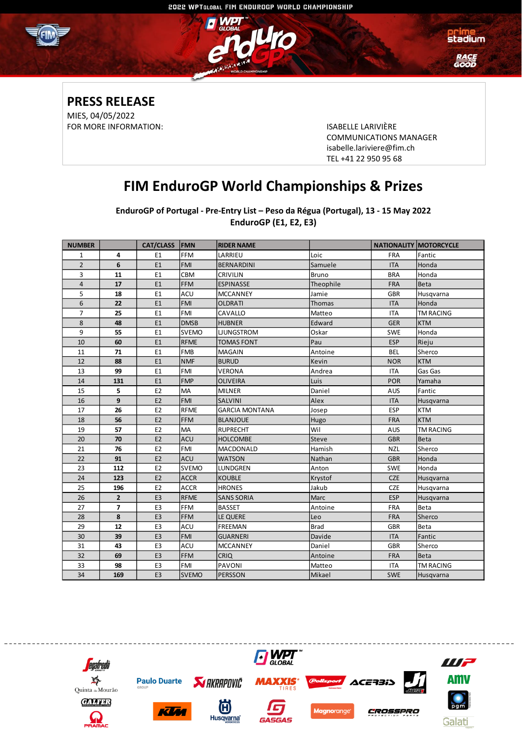

### **PRESS RELEASE** MIES, 04/05/2022

FOR MORE INFORMATION: ISABELLE LARIVIÈRE

COMMUNICATIONS MANAGER [isabelle.lariviere@fim.ch](mailto:isabelle.lariviere@fim.ch) TEL +41 22 950 95 68

## **FIM EnduroGP World Championships & Prizes**

**EnduroGP of Portugal - Pre-Entry List – Peso da Régua (Portugal), 13 - 15 May 2022 EnduroGP (E1, E2, E3)**

| <b>NUMBER</b>  |                | <b>CAT/CLASS</b> | <b>FMN</b>   | <b>RIDER NAME</b>     |              |            | <b>NATIONALITY MOTORCYCLE</b> |
|----------------|----------------|------------------|--------------|-----------------------|--------------|------------|-------------------------------|
| $\mathbf{1}$   | 4              | E1               | <b>FFM</b>   | LARRIEU               | Loic         | <b>FRA</b> | Fantic                        |
| $\overline{2}$ | 6              | E1               | <b>FMI</b>   | <b>BERNARDINI</b>     | Samuele      | <b>ITA</b> | Honda                         |
| 3              | 11             | E1               | CBM          | <b>CRIVILIN</b>       | <b>Bruno</b> | <b>BRA</b> | Honda                         |
| $\overline{4}$ | 17             | E1               | <b>FFM</b>   | <b>ESPINASSE</b>      | Theophile    | <b>FRA</b> | Beta                          |
| 5              | 18             | E <sub>1</sub>   | ACU          | <b>MCCANNEY</b>       | Jamie        | <b>GBR</b> | Husqvarna                     |
| 6              | 22             | E1               | <b>FMI</b>   | <b>OLDRATI</b>        | Thomas       | <b>ITA</b> | Honda                         |
| $\overline{7}$ | 25             | E1               | <b>FMI</b>   | CAVALLO               | Matteo       | <b>ITA</b> | <b>TM RACING</b>              |
| 8              | 48             | E1               | <b>DMSB</b>  | <b>HUBNER</b>         | Edward       | <b>GER</b> | <b>KTM</b>                    |
| 9              | 55             | E1               | <b>SVEMO</b> | <b>LIUNGSTROM</b>     | Oskar        | <b>SWE</b> | Honda                         |
| 10             | 60             | E1               | <b>RFME</b>  | <b>TOMAS FONT</b>     | Pau          | <b>ESP</b> | Rieju                         |
| 11             | 71             | E1               | <b>FMB</b>   | <b>MAGAIN</b>         | Antoine      | <b>BEL</b> | Sherco                        |
| 12             | 88             | E1               | <b>NMF</b>   | <b>BURUD</b>          | Kevin        | <b>NOR</b> | <b>KTM</b>                    |
| 13             | 99             | E1               | <b>FMI</b>   | <b>VERONA</b>         | Andrea       | <b>ITA</b> | Gas Gas                       |
| 14             | 131            | E1               | <b>FMP</b>   | <b>OLIVEIRA</b>       | Luis         | <b>POR</b> | Yamaha                        |
| 15             | 5              | E <sub>2</sub>   | MA           | <b>MILNER</b>         | Daniel       | AUS        | Fantic                        |
| 16             | 9              | E <sub>2</sub>   | <b>FMI</b>   | <b>SALVINI</b>        | Alex         | <b>ITA</b> | Husqvarna                     |
| 17             | 26             | E <sub>2</sub>   | <b>RFME</b>  | <b>GARCIA MONTANA</b> | Josep        | ESP        | <b>KTM</b>                    |
| 18             | 56             | E <sub>2</sub>   | <b>FFM</b>   | <b>BLANJOUE</b>       | Hugo         | <b>FRA</b> | <b>KTM</b>                    |
| 19             | 57             | E <sub>2</sub>   | MA           | <b>RUPRECHT</b>       | Wil          | AUS        | <b>TM RACING</b>              |
| 20             | 70             | E <sub>2</sub>   | <b>ACU</b>   | <b>HOLCOMBE</b>       | <b>Steve</b> | <b>GBR</b> | Beta                          |
| 21             | 76             | E <sub>2</sub>   | FMI          | MACDONALD             | Hamish       | <b>NZL</b> | Sherco                        |
| 22             | 91             | E <sub>2</sub>   | <b>ACU</b>   | <b>WATSON</b>         | Nathan       | <b>GBR</b> | Honda                         |
| 23             | 112            | E <sub>2</sub>   | <b>SVEMO</b> | LUNDGREN              | Anton        | <b>SWE</b> | Honda                         |
| 24             | 123            | E <sub>2</sub>   | <b>ACCR</b>  | <b>KOUBLE</b>         | Krystof      | <b>CZE</b> | Husqvarna                     |
| 25             | 196            | E <sub>2</sub>   | <b>ACCR</b>  | <b>HRONES</b>         | Jakub        | <b>CZE</b> | Husqvarna                     |
| 26             | $\overline{2}$ | E <sub>3</sub>   | <b>RFME</b>  | <b>SANS SORIA</b>     | Marc         | <b>ESP</b> | Husqvarna                     |
| 27             | $\overline{ }$ | E <sub>3</sub>   | <b>FFM</b>   | <b>BASSET</b>         | Antoine      | <b>FRA</b> | Beta                          |
| 28             | 8              | E <sub>3</sub>   | <b>FFM</b>   | LE QUERE              | Leo          | <b>FRA</b> | Sherco                        |
| 29             | 12             | E3               | ACU          | FREEMAN               | <b>Brad</b>  | <b>GBR</b> | Beta                          |
| 30             | 39             | E <sub>3</sub>   | <b>FMI</b>   | <b>GUARNERI</b>       | Davide       | <b>ITA</b> | Fantic                        |
| 31             | 43             | E3               | ACU          | <b>MCCANNEY</b>       | Daniel       | <b>GBR</b> | Sherco                        |
| 32             | 69             | E <sub>3</sub>   | <b>FFM</b>   | <b>CRIQ</b>           | Antoine      | <b>FRA</b> | Beta                          |
| 33             | 98             | E3               | FMI          | <b>PAVONI</b>         | Matteo       | ITA        | <b>TM RACING</b>              |
| 34             | 169            | E <sub>3</sub>   | <b>SVEMO</b> | <b>PERSSON</b>        | Mikael       | <b>SWE</b> | Husqvarna                     |

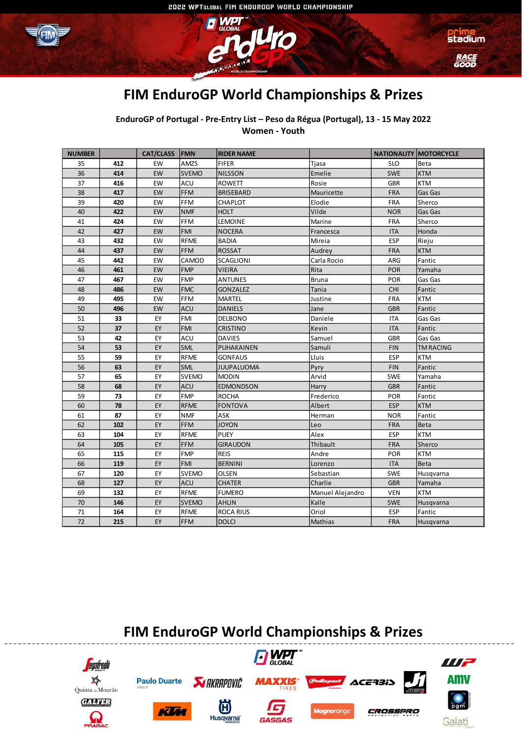



## **FIM EnduroGP World Championships & Prizes**

<u>ko</u>

**EnduroGP of Portugal - Pre-Entry List – Peso da Régua (Portugal), 13 - 15 May 2022 Women - Youth**

| <b>NUMBER</b> |     | <b>CAT/CLASS</b> | FMN          | <b>RIDER NAME</b> |                  |            | <b>NATIONALITY MOTORCYCLE</b> |
|---------------|-----|------------------|--------------|-------------------|------------------|------------|-------------------------------|
| 35            | 412 | EW               | AMZS         | <b>FIFER</b>      | Tjasa            | <b>SLO</b> | Beta                          |
| 36            | 414 | EW               | <b>SVEMO</b> | <b>NILSSON</b>    | Emelie           | <b>SWE</b> | <b>KTM</b>                    |
| 37            | 416 | EW               | ACU          | <b>ROWETT</b>     | Rosie            | <b>GBR</b> | <b>KTM</b>                    |
| 38            | 417 | EW               | <b>FFM</b>   | <b>BRISEBARD</b>  | Mauricette       | <b>FRA</b> | Gas Gas                       |
| 39            | 420 | EW               | FFM          | CHAPLOT           | Elodie           | <b>FRA</b> | Sherco                        |
| 40            | 422 | EW               | <b>NMF</b>   | <b>HOLT</b>       | Vilde            | <b>NOR</b> | Gas Gas                       |
| 41            | 424 | EW               | FFM          | LEMOINE           | Marine           | <b>FRA</b> | Sherco                        |
| 42            | 427 | EW               | <b>FMI</b>   | <b>NOCERA</b>     | Francesca        | <b>ITA</b> | Honda                         |
| 43            | 432 | EW               | <b>RFME</b>  | <b>BADIA</b>      | Mireia           | <b>ESP</b> | Rieju                         |
| 44            | 437 | EW               | <b>FFM</b>   | <b>ROSSAT</b>     | Audrey           | <b>FRA</b> | <b>KTM</b>                    |
| 45            | 442 | EW               | CAMOD        | SCAGLIONI         | Carla Rocio      | ARG        | Fantic                        |
| 46            | 461 | EW               | <b>FMP</b>   | <b>VIEIRA</b>     | Rita             | <b>POR</b> | Yamaha                        |
| 47            | 467 | EW               | <b>FMP</b>   | <b>ANTUNES</b>    | <b>Bruna</b>     | <b>POR</b> | Gas Gas                       |
| 48            | 486 | EW               | <b>FMC</b>   | <b>GONZALEZ</b>   | Tania            | <b>CHI</b> | Fantic                        |
| 49            | 495 | EW               | FFM          | <b>MARTEL</b>     | Justine          | <b>FRA</b> | <b>KTM</b>                    |
| 50            | 496 | EW               | <b>ACU</b>   | <b>DANIELS</b>    | Jane             | <b>GBR</b> | Fantic                        |
| 51            | 33  | EY               | <b>FMI</b>   | <b>DELBONO</b>    | Daniele          | <b>ITA</b> | Gas Gas                       |
| 52            | 37  | EY               | <b>FMI</b>   | <b>CRISTINO</b>   | Kevin            | <b>ITA</b> | Fantic                        |
| 53            | 42  | EY               | ACU          | <b>DAVIES</b>     | Samuel           | <b>GBR</b> | Gas Gas                       |
| 54            | 53  | EY               | SML          | PUHAKAINEN        | Samuli           | <b>FIN</b> | <b>TM RACING</b>              |
| 55            | 59  | EY               | <b>RFME</b>  | <b>GONFAUS</b>    | Lluis            | <b>ESP</b> | <b>KTM</b>                    |
| 56            | 63  | EY               | SML          | JUUPALUOMA        | Pyry             | <b>FIN</b> | Fantic                        |
| 57            | 65  | EY               | <b>SVEMO</b> | <b>MODIN</b>      | Arvid            | <b>SWE</b> | Yamaha                        |
| 58            | 68  | EY               | <b>ACU</b>   | <b>EDMONDSON</b>  | Harry            | <b>GBR</b> | Fantic                        |
| 59            | 73  | EY               | <b>FMP</b>   | <b>ROCHA</b>      | Frederico        | <b>POR</b> | Fantic                        |
| 60            | 78  | EY               | <b>RFME</b>  | <b>FONTOVA</b>    | Albert           | <b>ESP</b> | <b>KTM</b>                    |
| 61            | 87  | EY               | <b>NMF</b>   | ASK               | Herman           | <b>NOR</b> | Fantic                        |
| 62            | 102 | EY               | <b>FFM</b>   | <b>JOYON</b>      | Leo              | <b>FRA</b> | Beta                          |
| 63            | 104 | EY               | <b>RFME</b>  | <b>PUEY</b>       | Alex             | <b>ESP</b> | <b>KTM</b>                    |
| 64            | 105 | EY               | <b>FFM</b>   | <b>GIRAUDON</b>   | Thibault         | <b>FRA</b> | Sherco                        |
| 65            | 115 | EY               | <b>FMP</b>   | <b>REIS</b>       | Andre            | <b>POR</b> | <b>KTM</b>                    |
| 66            | 119 | EY               | <b>FMI</b>   | <b>BERNINI</b>    | Lorenzo          | <b>ITA</b> | Beta                          |
| 67            | 120 | EY               | <b>SVEMO</b> | <b>OLSEN</b>      | Sebastian        | <b>SWE</b> | Husqvarna                     |
| 68            | 127 | EY               | <b>ACU</b>   | <b>CHATER</b>     | Charlie          | <b>GBR</b> | Yamaha                        |
| 69            | 132 | EY               | <b>RFME</b>  | <b>FUMERO</b>     | Manuel Alejandro | <b>VEN</b> | <b>KTM</b>                    |
| 70            | 146 | EY               | <b>SVEMO</b> | <b>AHLIN</b>      | Kalle            | <b>SWE</b> | Husqvarna                     |
| 71            | 164 | EY               | RFME         | <b>ROCA RIUS</b>  | Oriol            | <b>ESP</b> | Fantic                        |
| 72            | 215 | EY               | <b>FFM</b>   | <b>DOLCI</b>      | Mathias          | <b>FRA</b> | Husqvarna                     |

# **FIM EnduroGP World Championships & Prizes**

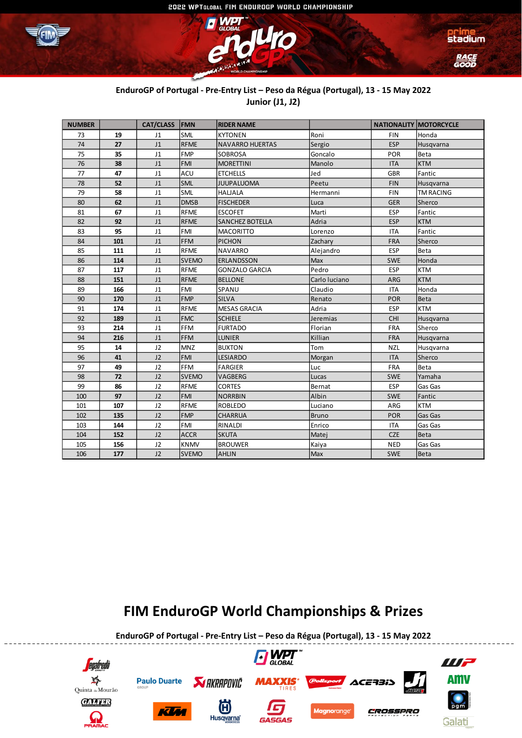



### **EnduroGP of Portugal - Pre-Entry List – Peso da Régua (Portugal), 13 - 15 May 2022 Junior (J1, J2)**

| <b>NUMBER</b> |     | <b>CAT/CLASS</b> | <b>FMN</b>   | <b>RIDER NAME</b>      |               | <b>NATIONALITY MOTORCYCLE</b> |                  |
|---------------|-----|------------------|--------------|------------------------|---------------|-------------------------------|------------------|
| 73            | 19  | J1               | <b>SML</b>   | <b>KYTONEN</b>         | Roni          | <b>FIN</b>                    | Honda            |
| 74            | 27  | J1               | <b>RFME</b>  | <b>NAVARRO HUERTAS</b> | Sergio        | <b>ESP</b>                    | Husqvarna        |
| 75            | 35  | J1               | <b>FMP</b>   | <b>SOBROSA</b>         | Goncalo       | <b>POR</b>                    | Beta             |
| 76            | 38  | J <sub>1</sub>   | <b>FMI</b>   | <b>MORETTINI</b>       | Manolo        | <b>ITA</b>                    | <b>KTM</b>       |
| 77            | 47  | J <sub>1</sub>   | ACU          | <b>ETCHELLS</b>        | Jed           | <b>GBR</b>                    | Fantic           |
| 78            | 52  | J <sub>1</sub>   | SML          | <b>JUUPALUOMA</b>      | Peetu         | <b>FIN</b>                    | Husqvarna        |
| 79            | 58  | J1               | SML          | <b>HALJALA</b>         | Hermanni      | <b>FIN</b>                    | <b>TM RACING</b> |
| 80            | 62  | J <sub>1</sub>   | <b>DMSB</b>  | <b>FISCHEDER</b>       | Luca          | <b>GER</b>                    | Sherco           |
| 81            | 67  | J1               | <b>RFME</b>  | <b>ESCOFET</b>         | Marti         | <b>ESP</b>                    | Fantic           |
| 82            | 92  | J1               | <b>RFME</b>  | <b>SANCHEZ BOTELLA</b> | Adria         | <b>ESP</b>                    | <b>KTM</b>       |
| 83            | 95  | J1               | <b>FMI</b>   | <b>MACORITTO</b>       | Lorenzo       | <b>ITA</b>                    | Fantic           |
| 84            | 101 | J1               | <b>FFM</b>   | <b>PICHON</b>          | Zachary       | <b>FRA</b>                    | Sherco           |
| 85            | 111 | J1               | <b>RFME</b>  | <b>NAVARRO</b>         | Alejandro     | ESP                           | Beta             |
| 86            | 114 | J1               | <b>SVEMO</b> | <b>ERLANDSSON</b>      | Max           | <b>SWE</b>                    | Honda            |
| 87            | 117 | J1               | <b>RFME</b>  | <b>GONZALO GARCIA</b>  | Pedro         | <b>ESP</b>                    | <b>KTM</b>       |
| 88            | 151 | J1               | <b>RFME</b>  | <b>BELLONE</b>         | Carlo luciano | ARG                           | <b>KTM</b>       |
| 89            | 166 | J1               | <b>FMI</b>   | SPANU                  | Claudio       | <b>ITA</b>                    | Honda            |
| 90            | 170 | J1               | <b>FMP</b>   | <b>SILVA</b>           | Renato        | <b>POR</b>                    | Beta             |
| 91            | 174 | J1               | <b>RFME</b>  | <b>MESAS GRACIA</b>    | Adria         | <b>ESP</b>                    | <b>KTM</b>       |
| 92            | 189 | J <sub>1</sub>   | <b>FMC</b>   | <b>SCHIELE</b>         | Jeremias      | <b>CHI</b>                    | Husqvarna        |
| 93            | 214 | J1               | FFM          | <b>FURTADO</b>         | Florian       | FRA                           | Sherco           |
| 94            | 216 | J1               | <b>FFM</b>   | <b>LUNIER</b>          | Killian       | <b>FRA</b>                    | Husqvarna        |
| 95            | 14  | J2               | <b>MNZ</b>   | <b>BUXTON</b>          | Tom           | <b>NZL</b>                    | Husqvarna        |
| 96            | 41  | J2               | <b>FMI</b>   | <b>LESIARDO</b>        | Morgan        | <b>ITA</b>                    | Sherco           |
| 97            | 49  | J2               | <b>FFM</b>   | <b>FARGIER</b>         | Luc           | FRA                           | Beta             |
| 98            | 72  | J2               | <b>SVEMO</b> | VAGBERG                | Lucas         | <b>SWE</b>                    | Yamaha           |
| 99            | 86  | J2               | <b>RFME</b>  | <b>CORTES</b>          | Bernat        | <b>ESP</b>                    | Gas Gas          |
| 100           | 97  | J2               | <b>FMI</b>   | <b>NORRBIN</b>         | Albin         | <b>SWE</b>                    | Fantic           |
| 101           | 107 | J2               | <b>RFME</b>  | <b>ROBLEDO</b>         | Luciano       | ARG                           | <b>KTM</b>       |
| 102           | 135 | J2               | <b>FMP</b>   | <b>CHARRUA</b>         | <b>Bruno</b>  | <b>POR</b>                    | Gas Gas          |
| 103           | 144 | J2               | <b>FMI</b>   | RINALDI                | Enrico        | <b>ITA</b>                    | Gas Gas          |
| 104           | 152 | J2               | <b>ACCR</b>  | <b>SKUTA</b>           | Matej         | <b>CZE</b>                    | Beta             |
| 105           | 156 | J2               | <b>KNMV</b>  | <b>BROUWER</b>         | Kaiya         | <b>NED</b>                    | Gas Gas          |
| 106           | 177 | J2               | <b>SVEMO</b> | <b>AHLIN</b>           | Max           | <b>SWE</b>                    | Beta             |

## **FIM EnduroGP World Championships & Prizes**

**EnduroGP of Portugal - Pre-Entry List – Peso da Régua (Portugal), 13 - 15 May 2022**